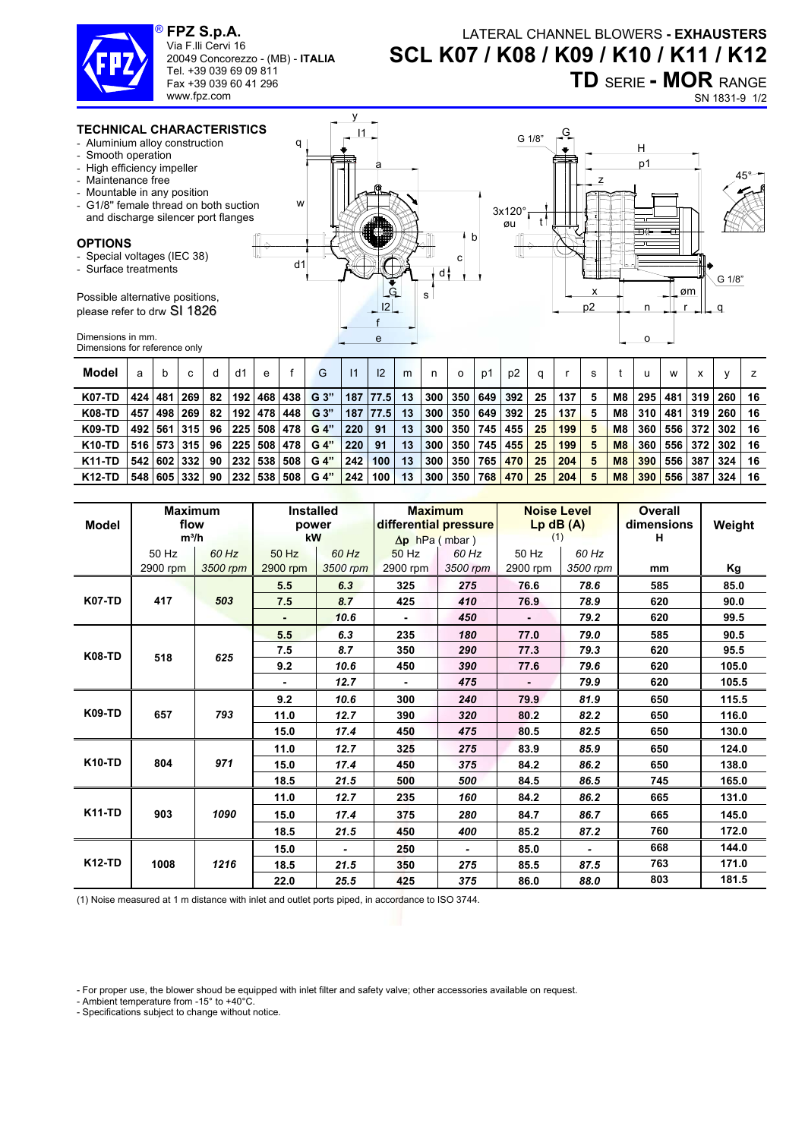

Via F.lli Cervi 16

20049 Concorezzo - (MB) - **ITALIA**

y  $11<sub>1</sub>$ 

Tel. +39 039 69 09 811 Fax +39 039 60 41 296 www.fpz.com

## LATERAL CHANNEL BLOWERS **- EXHAUSTERS SCL K07 / K08 / K09 / K10 / K11 / K12 TD** SERIE **- MOR** RANGE

G 1/8"  $\begin{bmatrix} G \\ F \end{bmatrix}$ 

SN 1831-9 1/2

## **TECHNICAL CHARACTERISTICS**

- Aluminium alloy construction
- Smooth operation
- High efficiency impeller
- Maintenance free
- Mountable in any position
- G1/8" female thread on  $b$ and discharge silencer po

## **OPTIONS**

- Special voltages (IEC 38)
- Surface treatments

Possible alternative position please refer to drw SI 182

Dimensions in mm. Dimensions for reference only

| tion                                          | q                                                                   | 178 تا<br>H                                                                                                             |
|-----------------------------------------------|---------------------------------------------------------------------|-------------------------------------------------------------------------------------------------------------------------|
| oth suction<br>ort flanges<br>I,<br>٦S,<br>ί6 | â<br>W<br>Ż<br>b<br>с<br>d <sub>1</sub><br>d:<br>_G<br>s<br>12<br>e | p1<br>$45^{\circ}$<br>3x120°<br>øu<br>ᄅ<br>⊞≎<br>त।<br>↸<br>لصط<br>G 1/8"<br>.øm<br>ᄉ<br>p <sub>2</sub><br>n<br>$\circ$ |
|                                               |                                                                     |                                                                                                                         |

| Model         | a   | b         | C               | d  | d1        | e       |     | G              | $\mathsf{I}$ | 12   | m  | n   | $\circ$ | p1  | p <sub>2</sub> | a  |     | s |    |     | w   | х          |     |    |
|---------------|-----|-----------|-----------------|----|-----------|---------|-----|----------------|--------------|------|----|-----|---------|-----|----------------|----|-----|---|----|-----|-----|------------|-----|----|
| <b>K07-TD</b> |     | 424   481 | <b>269</b>      | 82 |           | 192 468 | 438 | G 3"           | 187          | 77.5 | 13 | 300 | 350     | 649 | 392            | 25 | 137 | 5 | M8 | 295 | 481 | 319        | 260 | 16 |
| <b>K08-TD</b> | 457 | 498 269   |                 | 82 |           | 192 478 | 448 | G <sub>3</sub> | 187          | 77.5 | 13 | 300 | 350     | 649 | 392            | 25 | 137 | 5 | M8 | 310 | 481 | <b>319</b> | 260 | 16 |
| <b>K09-TD</b> |     |           | 492   561   315 | 96 | 225 508   |         | 478 | G 4"           | 220          | 91   | 13 | 300 | 350     | 745 | 455            | 25 | 199 | 5 | M8 | 360 | 556 | 372        | 302 | 16 |
| <b>K10-TD</b> |     |           | 516   573   315 | 96 | 225 508   |         | 478 | G 4"           | 220          | 91   | 13 | 300 | 350     | 745 | 455            | 25 | 199 | 5 | M8 | 360 | 556 | 372        | 302 | 16 |
| <b>K11-TD</b> |     |           | 542 602 332     | 90 | 232   538 |         | 508 | G 4"           | 242          | 100  | 13 | 300 | 350     | 765 | 470            | 25 | 204 | 5 | M8 | 390 | 556 | 387        | 324 | 16 |
| <b>K12-TD</b> | 548 |           | 16051332        | 90 | 232   538 |         | 508 | G 4"           | 242          | 100  | 13 | 300 | 350     | 768 | 470            | 25 | 204 | 5 | M8 | 390 | 556 | 387        | 324 | 16 |

| <b>Model</b>  | <b>Maximum</b><br>flow<br>$m^3/h$ |                   | <b>Installed</b><br>power<br>kW |                   | <b>Maximum</b><br>differential pressure<br>$\Delta p$ hPa (mbar) |                   | <b>Noise Level</b><br>$Lp$ dB $(A)$<br>(1) |                   | <b>Overall</b><br>dimensions<br>н | Weight |
|---------------|-----------------------------------|-------------------|---------------------------------|-------------------|------------------------------------------------------------------|-------------------|--------------------------------------------|-------------------|-----------------------------------|--------|
|               | 50 Hz<br>2900 rpm                 | 60 Hz<br>3500 rpm | 50 Hz<br>2900 rpm               | 60 Hz<br>3500 rpm | 50 Hz<br>2900 rpm                                                | 60 Hz<br>3500 rpm | 50 Hz<br>2900 rpm                          | 60 Hz<br>3500 rpm | mm                                | Kg     |
|               |                                   |                   | 5.5                             | 6.3               | 325                                                              | 275               | 76.6                                       | 78.6              | 585                               | 85.0   |
| <b>K07-TD</b> | 417                               | 503               | 7.5                             | 8.7               | 425                                                              | 410               | 76.9                                       | 78.9              | 620                               | 90.0   |
|               |                                   |                   |                                 | 10.6              |                                                                  | 450               |                                            | 79.2              | 620                               | 99.5   |
| <b>K08-TD</b> | 518                               |                   | 5.5                             | 6.3               | 235                                                              | 180               | 77.0                                       | 79.0              | 585                               | 90.5   |
|               |                                   | 625               | 7.5                             | 8.7               | 350                                                              | 290               | 77.3                                       | 79.3              | 620                               | 95.5   |
|               |                                   |                   | 9.2                             | 10.6              | 450                                                              | 390               | 77.6                                       | 79.6              | 620                               | 105.0  |
|               |                                   |                   | ٠                               | 12.7              | ٠                                                                | 475               | ٠                                          | 79.9              | 620                               | 105.5  |
| <b>K09-TD</b> | 657                               |                   | 9.2                             | 10.6              | 300                                                              | 240               | 79.9                                       | 81.9              | 650                               | 115.5  |
|               |                                   | 793               |                                 | 11.0              | 12.7                                                             | 390               | 320                                        | 80.2              | 82.2                              | 650    |
|               |                                   |                   | 15.0                            | 17.4              | 450                                                              | 475               | 80.5                                       | 82.5              | 650                               | 130.0  |
| <b>K10-TD</b> |                                   |                   | 11.0                            | 12.7              | 325                                                              | 275               | 83.9                                       | 85.9              | 650                               | 124.0  |
|               | 804                               | 971               | 15.0                            | 17.4              | 450                                                              | 375               | 84.2                                       | 86.2              | 650                               | 138.0  |
|               |                                   |                   | 18.5                            | 21.5              | 500                                                              | 500               | 84.5                                       | 86.5              | 745                               | 165.0  |
| <b>K11-TD</b> |                                   |                   | 11.0                            | 12.7              | 235                                                              | 160               | 84.2                                       | 86.2              | 665                               | 131.0  |
|               | 903                               | 1090              | 15.0                            | 17.4              | 375                                                              | 280               | 84.7                                       | 86.7              | 665                               | 145.0  |
|               |                                   |                   | 18.5                            | 21.5              | 450                                                              | 400               | 85.2                                       | 87.2              | 760                               | 172.0  |
| <b>K12-TD</b> |                                   |                   | 15.0                            | $\blacksquare$    | 250                                                              | $\blacksquare$    | 85.0                                       | $\blacksquare$    | 668                               | 144.0  |
|               | 1008                              | 1216              | 18.5                            | 21.5              | 350                                                              | 275               | 85.5                                       | 87.5              | 763                               | 171.0  |
|               |                                   |                   | 22.0                            | 25.5              | 425                                                              | 375               | 86.0                                       | 88.0              | 803                               | 181.5  |

(1) Noise measured at 1 m distance with inlet and outlet ports piped, in accordance to ISO 3744.

- Ambient temperature from -15° to +40°C.

- Specifications subject to change without notice.

<sup>-</sup> For proper use, the blower shoud be equipped with inlet filter and safety valve; other accessories available on request.